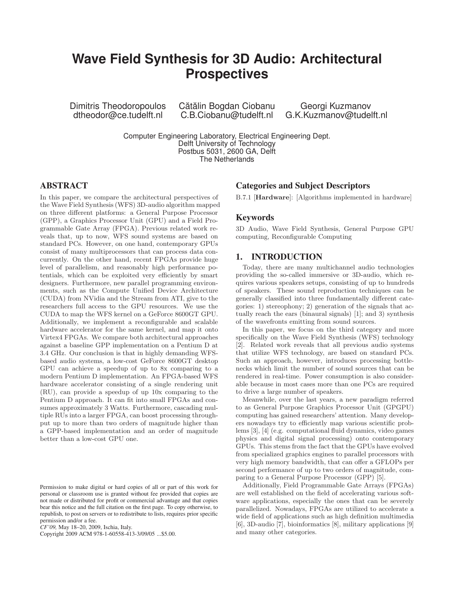# **Wave Field Synthesis for 3D Audio: Architectural Prospectives**

Dimitris Theodoropoulos dtheodor@ce.tudelft.nl

Cătălin Bogdan Ciobanu C.B.Ciobanu@tudelft.nl

Georgi Kuzmanov G.K.Kuzmanov@tudelft.nl

Computer Engineering Laboratory, Electrical Engineering Dept. Delft University of Technology Postbus 5031, 2600 GA, Delft The Netherlands

# **ABSTRACT**

In this paper, we compare the architectural perspectives of the Wave Field Synthesis (WFS) 3D-audio algorithm mapped on three different platforms: a General Purpose Processor (GPP), a Graphics Processor Unit (GPU) and a Field Programmable Gate Array (FPGA). Previous related work reveals that, up to now, WFS sound systems are based on standard PCs. However, on one hand, contemporary GPUs consist of many multiprocessors that can process data concurrently. On the other hand, recent FPGAs provide huge level of parallelism, and reasonably high performance potentials, which can be exploited very efficiently by smart designers. Furthermore, new parallel programming environments, such as the Compute Unified Device Architecture (CUDA) from NVidia and the Stream from ATI, give to the researchers full access to the GPU resources. We use the CUDA to map the WFS kernel on a GeForce 8600GT GPU. Additionally, we implement a reconfigurable and scalable hardware accelerator for the same kernel, and map it onto Virtex4 FPGAs. We compare both architectural approaches against a baseline GPP implementation on a Pentium D at 3.4 GHz. Our conclusion is that in highly demanding WFSbased audio systems, a low-cost GeForce 8600GT desktop GPU can achieve a speedup of up to 8x comparing to a modern Pentium D implementation. An FPGA-based WFS hardware accelerator consisting of a single rendering unit (RU), can provide a speedup of up 10x comparing to the Pentium D approach. It can fit into small FPGAs and consumes approximately 3 Watts. Furthermore, cascading multiple RUs into a larger FPGA, can boost processing throughput up to more than two orders of magnitude higher than a GPP-based implementation and an order of magnitude better than a low-cost GPU one.

*CF'09,* May 18–20, 2009, Ischia, Italy.

Copyright 2009 ACM 978-1-60558-413-3/09/05 ...\$5.00.

#### **Categories and Subject Descriptors**

B.7.1 [Hardware]: [Algorithms implemented in hardware]

#### **Keywords**

3D Audio, Wave Field Synthesis, General Purpose GPU computing, Reconfigurable Computing

## **1. INTRODUCTION**

Today, there are many multichannel audio technologies providing the so-called immersive or 3D-audio, which requires various speakers setups, consisting of up to hundreds of speakers. These sound reproduction techniques can be generally classified into three fundamentally different categories: 1) stereophony; 2) generation of the signals that actually reach the ears (binaural signals) [1]; and 3) synthesis of the wavefronts emitting from sound sources.

In this paper, we focus on the third category and more specifically on the Wave Field Synthesis (WFS) technology [2]. Related work reveals that all previous audio systems that utilize WFS technology, are based on standard PCs. Such an approach, however, introduces processing bottlenecks which limit the number of sound sources that can be rendered in real-time. Power consumption is also considerable because in most cases more than one PCs are required to drive a large number of speakers.

Meanwhile, over the last years, a new paradigm referred to as General Purpose Graphics Processor Unit (GPGPU) computing has gained researchers' attention. Many developers nowadays try to efficiently map various scientific problems [3], [4] (e.g. computational fluid dynamics, video games physics and digital signal processing) onto contemporary GPUs. This stems from the fact that the GPUs have evolved from specialized graphics engines to parallel processors with very high memory bandwidth, that can offer a GFLOPs per second performance of up to two orders of magnitude, comparing to a General Purpose Processor (GPP) [5].

Additionally, Field Programmable Gate Arrays (FPGAs) are well established on the field of accelerating various software applications, especially the ones that can be severely parallelized. Nowadays, FPGAs are utilized to accelerate a wide field of applications such as high definition multimedia [6], 3D-audio [7], bioinformatics [8], military applications [9] and many other categories.

Permission to make digital or hard copies of all or part of this work for personal or classroom use is granted without fee provided that copies are not made or distributed for profit or commercial advantage and that copies bear this notice and the full citation on the first page. To copy otherwise, to republish, to post on servers or to redistribute to lists, requires prior specific permission and/or a fee.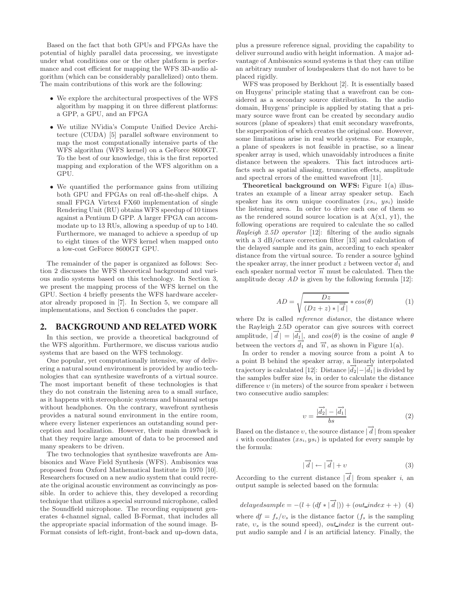Based on the fact that both GPUs and FPGAs have the potential of highly parallel data processing, we investigate under what conditions one or the other platform is performance and cost efficient for mapping the WFS 3D-audio algorithm (which can be considerably parallelized) onto them. The main contributions of this work are the following:

- We explore the architectural prospectives of the WFS algorithm by mapping it on three different platforms: a GPP, a GPU, and an FPGA
- We utilize NVidia's Compute Unified Device Architecture (CUDA) [5] parallel software environment to map the most computationally intensive parts of the WFS algorithm (WFS kernel) on a GeForce 8600GT. To the best of our knowledge, this is the first reported mapping and exploration of the WFS algorithm on a GPU.
- We quantified the performance gains from utilizing both GPU and FPGAs on real off-the-shelf chips. A small FPGA Virtex4 FX60 implementation of single Rendering Unit (RU) obtains WFS speedup of 10 times against a Pentium D GPP. A larger FPGA can accommodate up to 13 RUs, allowing a speedup of up to 140. Furthermore, we managed to achieve a speedup of up to eight times of the WFS kernel when mapped onto a low-cost GeForce 8600GT GPU.

The remainder of the paper is organized as follows: Section 2 discusses the WFS theoretical background and various audio systems based on this technology. In Section 3, we present the mapping process of the WFS kernel on the GPU. Section 4 briefly presents the WFS hardware accelerator already proposed in [7]. In Section 5, we compare all implementations, and Section 6 concludes the paper.

## **2. BACKGROUND AND RELATED WORK**

In this section, we provide a theoretical background of the WFS algorithm. Furthermore, we discuss various audio systems that are based on the WFS technology.

One popular, yet computationally intensive, way of delivering a natural sound environment is provided by audio technologies that can synthesize wavefronts of a virtual source. The most important benefit of these technologies is that they do not constrain the listening area to a small surface, as it happens with stereophonic systems and binaural setups without headphones. On the contrary, wavefront synthesis provides a natural sound environment in the entire room, where every listener experiences an outstanding sound perception and localization. However, their main drawback is that they require large amount of data to be processed and many speakers to be driven.

The two technologies that synthesize wavefronts are Ambisonics and Wave Field Synthesis (WFS). Ambisonics was proposed from Oxford Mathematical Institute in 1970 [10]. Researchers focused on a new audio system that could recreate the original acoustic environment as convincingly as possible. In order to achieve this, they developed a recording technique that utilizes a special surround microphone, called the Soundfield microphone. The recording equipment generates 4-channel signal, called B-Format, that includes all the appropriate spacial information of the sound image. B-Format consists of left-right, front-back and up-down data,

plus a pressure reference signal, providing the capability to deliver surround audio with height information. A major advantage of Ambisonics sound systems is that they can utilize an arbitrary number of loudspeakers that do not have to be placed rigidly.

WFS was proposed by Berkhout [2]. It is essentially based on Huygens' principle stating that a wavefront can be considered as a secondary source distribution. In the audio domain, Huygens' principle is applied by stating that a primary source wave front can be created by secondary audio sources (plane of speakers) that emit secondary wavefronts, the superposition of which creates the original one. However, some limitations arise in real world systems. For example, a plane of speakers is not feasible in practise, so a linear speaker array is used, which unavoidably introduces a finite distance between the speakers. This fact introduces artifacts such as spatial aliasing, truncation effects, amplitude and spectral errors of the emitted wavefront [11].

Theoretical background on WFS: Figure 1(a) illustrates an example of a linear array speaker setup. Each speaker has its own unique coordinates  $(xs_i, ys_i)$  inside the listening area. In order to drive each one of them so as the rendered sound source location is at  $A(x1, y1)$ , the following operations are required to calculate the so called Rayleigh 2.5D operator [12]: filtering of the audio signals with a 3 dB/octave correction filter [13] and calculation of the delayed sample and its gain, according to each speaker distance from the virtual source. To render a source behind the speaker array, the inner product z between vector  $\overline{d_1}$  and the speaker array, the inner product z between vector  $\overline{d_1}$ each speaker normal vector  $\overrightarrow{n}$  must be calculated. Then the amplitude decay  $AD$  is given by the following formula [12]:

$$
AD = \sqrt{\frac{Dz}{(Dz + z) * |\vec{d}|}} * cos(\theta)
$$
 (1)

where Dz is called *reference distance*, the distance where the Rayleigh 2.5D operator can give sources with correct amplitude,  $|\vec{d}| = |\vec{d}_1|$ , and  $\cos(\theta)$  is the cosine of angle  $\theta$ between the vectors  $\overrightarrow{d_1}$  and  $\overrightarrow{n}$ , as shown in Figure 1(a).

In order to render a moving source from a point A to a point B behind the speaker array, a linearly interpolated trajectory is calculated [12]: Distance  $|\vec{d}_2| - |\vec{d}_1|$  is divided by the samples buffer size bs, in order to calculate the distance difference  $v$  (in meters) of the source from speaker i between two consecutive audio samples:

$$
v = \frac{|\overrightarrow{d_2}| - |\overrightarrow{d_1}|}{bs} \tag{2}
$$

Based on the distance  $v$ , the source distance  $|\overrightarrow{d}|$  from speaker i with coordinates  $(xs_i, ys_i)$  is updated for every sample by the formula:

$$
|\overrightarrow{d}| \leftarrow |\overrightarrow{d}| + v \tag{3}
$$

According to the current distance  $|\vec{d}|$  from speaker *i*, an output sample is selected based on the formula:

 $delayedsample = -(l + (df * |\overrightarrow{d}|)) + (out\_index + +)$  (4)

where  $df = f_s/v_s$  is the distance factor  $(f_s$  is the sampling rate,  $v_s$  is the sound speed), *out\_index* is the current output audio sample and  $l$  is an artificial latency. Finally, the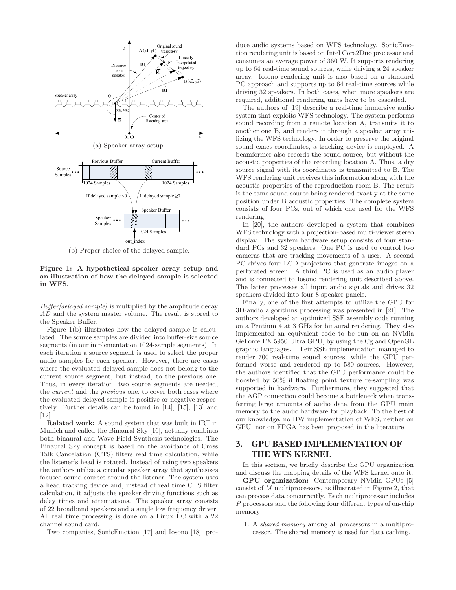

(b) Proper choice of the delayed sample.

#### Figure 1: A hypothetical speaker array setup and an illustration of how the delayed sample is selected in WFS.

 $Buffer/delayed\ sample/$  is multiplied by the amplitude decay AD and the system master volume. The result is stored to the Speaker Buffer.

Figure 1(b) illustrates how the delayed sample is calculated. The source samples are divided into buffer-size source segments (in our implementation 1024-sample segments). In each iteration a source segment is used to select the proper audio samples for each speaker. However, there are cases where the evaluated delayed sample does not belong to the current source segment, but instead, to the previous one. Thus, in every iteration, two source segments are needed, the current and the previous one, to cover both cases where the evaluated delayed sample is positive or negative respectively. Further details can be found in [14], [15], [13] and [12].

Related work: A sound system that was built in IRT in Munich and called the Binaural Sky [16], actually combines both binaural and Wave Field Synthesis technologies. The Binaural Sky concept is based on the avoidance of Cross Talk Cancelation (CTS) filters real time calculation, while the listener's head is rotated. Instead of using two speakers the authors utilize a circular speaker array that synthesizes focused sound sources around the listener. The system uses a head tracking device and, instead of real time CTS filter calculation, it adjusts the speaker driving functions such as delay times and attenuations. The speaker array consists of 22 broadband speakers and a single low frequency driver. All real time processing is done on a Linux PC with a 22 channel sound card.

Two companies, SonicEmotion [17] and Iosono [18], pro-

duce audio systems based on WFS technology. SonicEmotion rendering unit is based on Intel Core2Duo processor and consumes an average power of 360 W. It supports rendering up to 64 real-time sound sources, while driving a 24 speaker array. Iosono rendering unit is also based on a standard PC approach and supports up to 64 real-time sources while driving 32 speakers. In both cases, when more speakers are required, additional rendering units have to be cascaded.

The authors of [19] describe a real-time immersive audio system that exploits WFS technology. The system performs sound recording from a remote location A, transmits it to another one B, and renders it through a speaker array utilizing the WFS technology. In order to preserve the original sound exact coordinates, a tracking device is employed. A beamformer also records the sound source, but without the acoustic properties of the recording location A. Thus, a dry source signal with its coordinates is transmitted to B. The WFS rendering unit receives this information along with the acoustic properties of the reproduction room B. The result is the same sound source being rendered exactly at the same position under B acoustic properties. The complete system consists of four PCs, out of which one used for the WFS rendering.

In [20], the authors developed a system that combines WFS technology with a projection-based multi-viewer stereo display. The system hardware setup consists of four standard PCs and 32 speakers. One PC is used to control two cameras that are tracking movements of a user. A second PC drives four LCD projectors that generate images on a perforated screen. A third PC is used as an audio player and is connected to Iosono rendering unit described above. The latter processes all input audio signals and drives 32 speakers divided into four 8-speaker panels.

Finally, one of the first attempts to utilize the GPU for 3D-audio algorithms processing was presented in [21]. The authors developed an optimized SSE assembly code running on a Pentium 4 at 3 GHz for binaural rendering. They also implemented an equivalent code to be run on an NVidia GeForce FX 5950 Ultra GPU, by using the Cg and OpenGL graphic languages. Their SSE implementation managed to render 700 real-time sound sources, while the GPU performed worse and rendered up to 580 sources. However, the authors identified that the GPU performance could be boosted by 50% if floating point texture re-sampling was supported in hardware. Furthermore, they suggested that the AGP connection could become a bottleneck when transferring large amounts of audio data from the GPU main memory to the audio hardware for playback. To the best of our knowledge, no HW implementation of WFS, neither on GPU, nor on FPGA has been proposed in the literature.

# **3. GPU BASED IMPLEMENTATION OF THE WFS KERNEL**

In this section, we briefly describe the GPU organization and discuss the mapping details of the WFS kernel onto it.

GPU organization: Contemporary NVidia GPUs [5] consist of M multiprocessors, as illustrated in Figure 2, that can process data concurrently. Each multiprocessor includes P processors and the following four different types of on-chip memory:

1. A shared memory among all processors in a multiprocessor. The shared memory is used for data caching.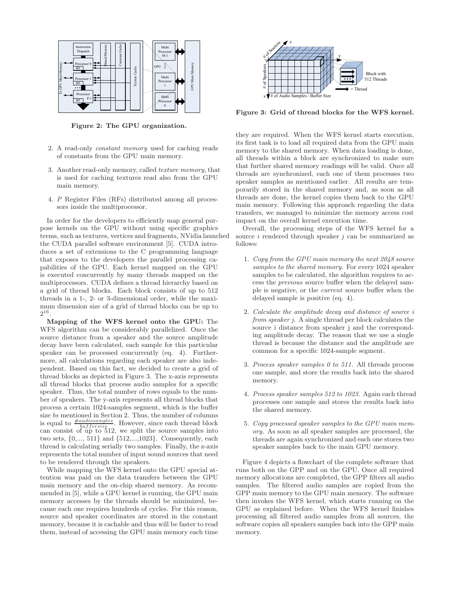

Figure 2: The GPU organization.

- 2. A read-only constant memory used for caching reads of constants from the GPU main memory.
- 3. Another read-only memory, called texture memory, that is used for caching textures read also from the GPU main memory.
- 4. P Register Files (RFs) distributed among all processors inside the multiprocessor.

In order for the developers to efficiently map general purpose kernels on the GPU without using specific graphics terms, such as textures, vertices and fragments, NVidia launched the CUDA parallel software environment [5]. CUDA introduces a set of extensions to the C programming language that exposes to the developers the parallel processing capabilities of the GPU. Each kernel mapped on the GPU is executed concurrently by many threads mapped on the multiprocessors. CUDA defines a thread hierarchy based on a grid of thread blocks. Each block consists of up to 512 threads in a 1-, 2- or 3-dimensional order, while the maximum dimension size of a grid of thread blocks can be up to  $2^{16}$ .

Mapping of the WFS kernel onto the GPU: The WFS algorithm can be considerably parallelized. Once the source distance from a speaker and the source amplitude decay have been calculated, each sample for this particular speaker can be processed concurrently (eq. 4). Furthermore, all calculations regarding each speaker are also independent. Based on this fact, we decided to create a grid of thread blocks as depicted in Figure 3. The x-axis represents all thread blocks that process audio samples for a specific speaker. Thus, the total number of rows equals to the number of speakers. The y-axis represents all thread blocks that process a certain 1024-samples segment, which is the buffer size bs mentioned in Section 2. Thus, the number of columns is equal to  $\frac{\#autiosamples}{buffer size}$ . However, since each thread block can consist of up to 512, we split the source samples into two sets, {0,..., 511} and {512,...,1023}. Consequently, each thread is calculating serially two samples. Finally, the z-axis represents the total number of input sound sources that need to be rendered through the speakers.

While mapping the WFS kernel onto the GPU special attention was paid on the data transfers between the GPU main memory and the on-chip shared memory. As recommended in [5], while a GPU kernel is running, the GPU main memory accesses by the threads should be minimized, because each one requires hundreds of cycles. For this reason, source and speaker coordinates are stored in the constant memory, because it is cachable and thus will be faster to read them, instead of accessing the GPU main memory each time



Figure 3: Grid of thread blocks for the WFS kernel.

they are required. When the WFS kernel starts execution, its first task is to load all required data from the GPU main memory to the shared memory. When data loading is done, all threads within a block are synchronized to make sure that further shared memory readings will be valid. Once all threads are synchronized, each one of them processes two speaker samples as mentioned earlier. All results are temporarily stored in the shared memory and, as soon as all threads are done, the kernel copies them back to the GPU main memory. Following this approach regarding the data transfers, we managed to minimize the memory access cost impact on the overall kernel execution time.

Overall, the processing steps of the WFS kernel for a source  $i$  rendered through speaker  $j$  can be summarized as follows:

- 1. Copy from the GPU main memory the next 2048 source samples to the shared memory. For every 1024 speaker samples to be calculated, the algorithm requires to access the previous source buffer when the delayed sample is negative, or the current source buffer when the delayed sample is positive (eq. 4).
- 2. Calculate the amplitude decay and distance of source i from speaker j. A single thread per block calculates the source i distance from speaker j and the corresponding amplitude decay. The reason that we use a single thread is because the distance and the amplitude are common for a specific 1024-sample segment.
- 3. Process speaker samples 0 to 511. All threads process one sample, and store the results back into the shared memory.
- 4. Process speaker samples 512 to 1023. Again each thread processes one sample and stores the results back into the shared memory.
- 5. Copy processed speaker samples to the GPU main memory. As soon as all speaker samples are processed, the threads are again synchronized and each one stores two speaker samples back to the main GPU memory.

Figure 4 depicts a flowchart of the complete software that runs both on the GPP and on the GPU. Once all required memory allocations are completed, the GPP filters all audio samples. The filtered audio samples are copied from the GPP main memory to the GPU main memory. The software then invokes the WFS kernel, which starts running on the GPU as explained before. When the WFS kernel finishes processing all filtered audio samples from all sources, the software copies all speakers samples back into the GPP main memory.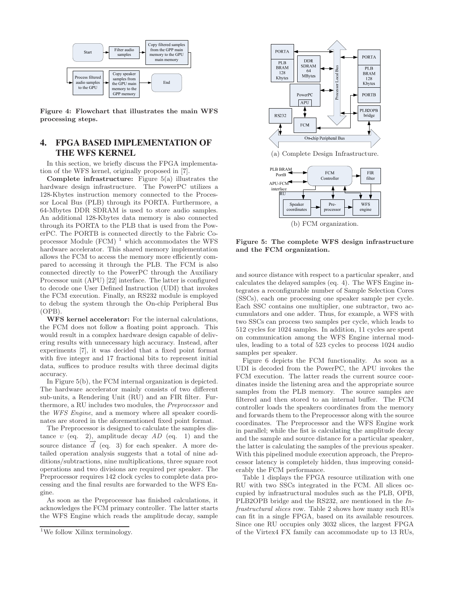

Figure 4: Flowchart that illustrates the main WFS processing steps.

# **4. FPGA BASED IMPLEMENTATION OF THE WFS KERNEL**

In this section, we briefly discuss the FPGA implementation of the WFS kernel, originally proposed in [7].

Complete infrastructure: Figure 5(a) illustrates the hardware design infrastructure. The PowerPC utilizes a 128-Kbytes instruction memory connected to the Processor Local Bus (PLB) through its PORTA. Furthermore, a 64-Mbytes DDR SDRAM is used to store audio samples. An additional 128-Kbytes data memory is also connected through its PORTA to the PLB that is used from the PowerPC. The PORTB is connected directly to the Fabric Coprocessor Module (FCM) $^{\rm 1}$  which accommodates the WFS hardware accelerator. This shared memory implementation allows the FCM to access the memory more efficiently compared to accessing it through the PLB. The FCM is also connected directly to the PowerPC through the Auxiliary Processor unit (APU) [22] interface. The latter is configured to decode one User Defined Instruction (UDI) that invokes the FCM execution. Finally, an RS232 module is employed to debug the system through the On-chip Peripheral Bus (OPB).

WFS kernel accelerator: For the internal calculations, the FCM does not follow a floating point approach. This would result in a complex hardware design capable of delivering results with unnecessary high accuracy. Instead, after experiments [7], it was decided that a fixed point format with five integer and 17 fractional bits to represent initial data, suffices to produce results with three decimal digits accuracy.

In Figure 5(b), the FCM internal organization is depicted. The hardware accelerator mainly consists of two different sub-units, a Rendering Unit (RU) and an FIR filter. Furthermore, a RU includes two modules, the Preprocessor and the WFS Engine, and a memory where all speaker coordinates are stored in the aforementioned fixed point format.

The Preprocessor is designed to calculate the samples distance  $v$  (eq. 2), amplitude decay  $AD$  (eq. 1) and the source distance  $\overrightarrow{d}$  (eq. 3) for each speaker. A more detailed operation analysis suggests that a total of nine additions/subtractions, nine multiplications, three square root operations and two divisions are required per speaker. The Preprocessor requires 142 clock cycles to complete data processing and the final results are forwarded to the WFS Engine.

As soon as the Preprocessor has finished calculations, it acknowledges the FCM primary controller. The latter starts the WFS Engine which reads the amplitude decay, sample



(b) FCM organization.

Figure 5: The complete WFS design infrastructure and the FCM organization.

and source distance with respect to a particular speaker, and calculates the delayed samples (eq. 4). The WFS Engine integrates a reconfigurable number of Sample Selection Cores (SSCs), each one processing one speaker sample per cycle. Each SSC contains one multiplier, one subtractor, two accumulators and one adder. Thus, for example, a WFS with two SSCs can process two samples per cycle, which leads to 512 cycles for 1024 samples. In addition, 11 cycles are spent on communication among the WFS Engine internal modules, leading to a total of 523 cycles to process 1024 audio samples per speaker.

Figure 6 depicts the FCM functionality. As soon as a UDI is decoded from the PowerPC, the APU invokes the FCM execution. The latter reads the current source coordinates inside the listening area and the appropriate source samples from the PLB memory. The source samples are filtered and then stored to an internal buffer. The FCM controller loads the speakers coordinates from the memory and forwards them to the Preprocessor along with the source coordinates. The Preprocessor and the WFS Engine work in parallel; while the fist is calculating the amplitude decay and the sample and source distance for a particular speaker, the latter is calculating the samples of the previous speaker. With this pipelined module execution approach, the Preprocessor latency is completely hidden, thus improving considerably the FCM performance.

Table 1 displays the FPGA resource utilization with one RU with two SSCs integrated in the FCM. All slices occupied by infrastructural modules such as the PLB, OPB, PLB2OPB bridge and the RS232, are mentioned in the Infrastructural slices row. Table 2 shows how many such RUs can fit in a single FPGA, based on its available resources. Since one RU occupies only 3032 slices, the largest FPGA of the Virtex4 FX family can accommodate up to 13 RUs,

<sup>&</sup>lt;sup>1</sup>We follow Xilinx terminology.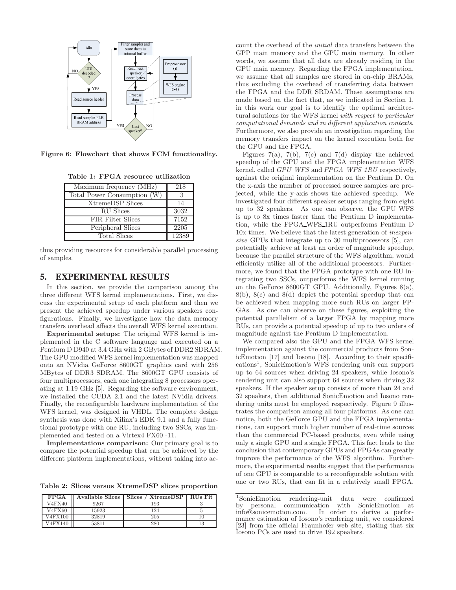

Figure 6: Flowchart that shows FCM functionality.

Table 1: FPGA resource utilization

| Maximum frequency (MHz)     | 218   |
|-----------------------------|-------|
| Total Power Consumption (W) | 2     |
| <b>XtremeDSP</b> Slices     | 14    |
| <b>RU</b> Slices            | 3032  |
| <b>FIR Filter Slices</b>    | 7152  |
| Peripheral Slices           | 2205  |
| <b>Total Slices</b>         | 12389 |

thus providing resources for considerable parallel processing of samples.

## **5. EXPERIMENTAL RESULTS**

In this section, we provide the comparison among the three different WFS kernel implementations. First, we discuss the experimental setup of each platform and then we present the achieved speedup under various speakers configurations. Finally, we investigate how the data memory transfers overhead affects the overall WFS kernel execution.

Experimental setups: The original WFS kernel is implemented in the C software language and executed on a Pentium D D940 at 3.4 GHz with 2 GBytes of DDR2 SDRAM. The GPU modified WFS kernel implementation was mapped onto an NVidia GeForce 8600GT graphics card with 256 MBytes of DDR3 SDRAM. The 8600GT GPU consists of four multiprocessors, each one integrating 8 processors operating at 1.19 GHz [5]. Regarding the software environment, we installed the CUDA 2.1 and the latest NVidia drivers. Finally, the reconfigurable hardware implementation of the WFS kernel, was designed in VHDL. The complete design synthesis was done with Xilinx's EDK 9.1 and a fully functional prototype with one RU, including two SSCs, was implemented and tested on a Virtex4 FX60 -11.

Implementations comparison: Our primary goal is to compare the potential speedup that can be achieved by the different platform implementations, without taking into ac-

Table 2: Slices versus XtremeDSP slices proportion

| <b>FPGA</b>      | Available Slices | <b>Slices</b><br><b>XtremeDSP</b> | RU <sub>s</sub> Fit |
|------------------|------------------|-----------------------------------|---------------------|
| V4FX40           | 9267             | 193                               |                     |
| V4FX60           | 15923            | 124                               |                     |
| V4FX100          | 32819            | 205                               | 10                  |
| $\sqrt{4}$ FX140 | 53811            | 280                               | 13                  |

count the overhead of the initial data transfers between the GPP main memory and the GPU main memory. In other words, we assume that all data are already residing in the GPU main memory. Regarding the FPGA implementation, we assume that all samples are stored in on-chip BRAMs, thus excluding the overhead of transferring data between the FPGA and the DDR SRDAM. These assumptions are made based on the fact that, as we indicated in Section 1, in this work our goal is to identify the optimal architectural solutions for the WFS kernel with respect to particular computational demands and in different application contexts. Furthermore, we also provide an investigation regarding the memory transfers impact on the kernel execution both for the GPU and the FPGA.

Figures 7(a), 7(b), 7(c) and 7(d) display the achieved speedup of the GPU and the FPGA implementation WFS kernel, called GPU\_WFS and FPGA\_WFS\_1RU respectively, against the original implementation on the Pentium D. On the x-axis the number of processed source samples are projected, while the y-axis shows the achieved speedup. We investigated four different speaker setups ranging from eight up to 32 speakers. As one can observe, the GPU\_WFS is up to 8x times faster than the Pentium D implementation, while the FPGA WFS 1RU outperforms Pentium D 10x times. We believe that the latest generation of inexpensive GPUs that integrate up to 30 multiprocessors [5], can potentially achieve at least an order of magnitude speedup, because the parallel structure of the WFS algorithm, would efficiently utilize all of the additional processors. Furthermore, we found that the FPGA prototype with one RU integrating two SSCs, outperforms the WFS kernel running on the GeForce 8600GT GPU. Additionally, Figures 8(a), 8(b), 8(c) and 8(d) depict the potential speedup that can be achieved when mapping more such RUs on larger FP-GAs. As one can observe on these figures, exploiting the potential parallelism of a larger FPGA by mapping more RUs, can provide a potential speedup of up to two orders of magnitude against the Pentium D implementation.

We compared also the GPU and the FPGA WFS kernel implementation against the commercial products from SonicEmotion [17] and Iosono [18]. According to their specifications<sup>1</sup> , SonicEmotion's WFS rendering unit can support up to 64 sources when driving 24 speakers, while Iosono's rendering unit can also support 64 sources when driving 32 speakers. If the speaker setup consists of more than 24 and 32 speakers, then additional SonicEmotion and Iosono rendering units must be employed respectively. Figure 9 illustrates the comparison among all four platforms. As one can notice, both the GeForce GPU and the FPGA implementations, can support much higher number of real-time sources than the commercial PC-based products, even while using only a single GPU and a single FPGA. This fact leads to the conclusion that contemporary GPUs and FPGAs can greatly improve the performance of the WFS algorithm. Furthermore, the experimental results suggest that the performance of one GPU is comparable to a reconfigurable solution with one or two RUs, that can fit in a relatively small FPGA.

 $1$ SonicEmotion rendering-unit data were confirmed by personal communication with SonicEmotion at info@sonicemotion.com. In order to derive a perfor-In order to derive a performance estimation of Iosono's rendering unit, we considered [23] from the official Fraunhofer web site, stating that six Iosono PCs are used to drive 192 speakers.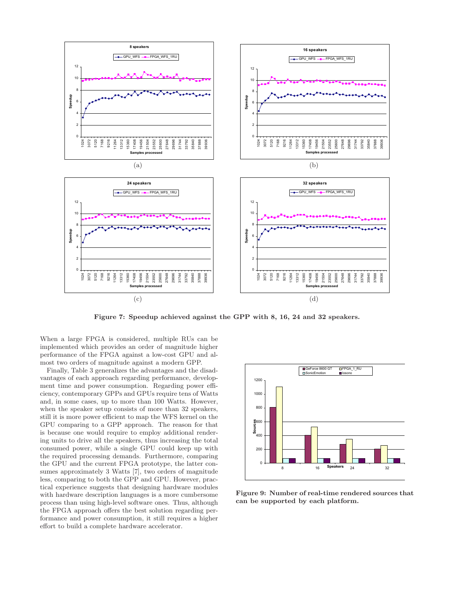

Figure 7: Speedup achieved against the GPP with 8, 16, 24 and 32 speakers.

When a large FPGA is considered, multiple RUs can be implemented which provides an order of magnitude higher performance of the FPGA against a low-cost GPU and almost two orders of magnitude against a modern GPP.

Finally, Table 3 generalizes the advantages and the disadvantages of each approach regarding performance, development time and power consumption. Regarding power efficiency, contemporary GPPs and GPUs require tens of Watts and, in some cases, up to more than 100 Watts. However, when the speaker setup consists of more than 32 speakers, still it is more power efficient to map the WFS kernel on the GPU comparing to a GPP approach. The reason for that is because one would require to employ additional rendering units to drive all the speakers, thus increasing the total consumed power, while a single GPU could keep up with the required processing demands. Furthermore, comparing the GPU and the current FPGA prototype, the latter consumes approximately 3 Watts [7], two orders of magnitude less, comparing to both the GPP and GPU. However, practical experience suggests that designing hardware modules with hardware description languages is a more cumbersome process than using high-level software ones. Thus, although the FPGA approach offers the best solution regarding performance and power consumption, it still requires a higher effort to build a complete hardware accelerator.



Figure 9: Number of real-time rendered sources that can be supported by each platform.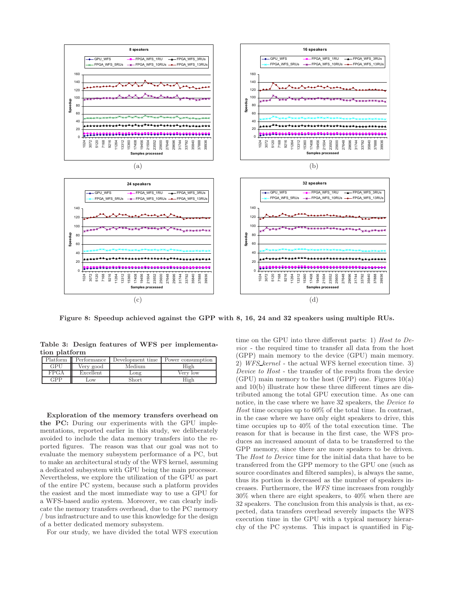

Figure 8: Speedup achieved against the GPP with 8, 16, 24 and 32 speakers using multiple RUs.

Table 3: Design features of WFS per implementation platform

|            |           |              | Platform   Performance   Development time   Power consumption |
|------------|-----------|--------------|---------------------------------------------------------------|
| GPU        | Very good | Medium       | High                                                          |
| FPGA       | Excellent | Long         | Very low                                                      |
| <b>GPP</b> | Low       | <b>Short</b> | High                                                          |

Exploration of the memory transfers overhead on the PC: During our experiments with the GPU implementations, reported earlier in this study, we deliberately avoided to include the data memory transfers into the reported figures. The reason was that our goal was not to evaluate the memory subsystem performance of a PC, but to make an architectural study of the WFS kernel, assuming a dedicated subsystem with GPU being the main processor. Nevertheless, we explore the utilization of the GPU as part of the entire PC system, because such a platform provides the easiest and the most immediate way to use a GPU for a WFS-based audio system. Moreover, we can clearly indicate the memory transfers overhead, due to the PC memory / bus infrastructure and to use this knowledge for the design of a better dedicated memory subsystem.

For our study, we have divided the total WFS execution

time on the GPU into three different parts: 1) Host to Device - the required time to transfer all data from the host (GPP) main memory to the device (GPU) main memory. 2) WFS kernel - the actual WFS kernel execution time. 3) Device to Host - the transfer of the results from the device  $(GPU)$  main memory to the host  $(GPP)$  one. Figures  $10(a)$ and 10(b) illustrate how these three different times are distributed among the total GPU execution time. As one can notice, in the case where we have 32 speakers, the *Device to* Host time occupies up to 60% of the total time. In contrast, in the case where we have only eight speakers to drive, this time occupies up to 40% of the total execution time. The reason for that is because in the first case, the WFS produces an increased amount of data to be transferred to the GPP memory, since there are more speakers to be driven. The Host to Device time for the initial data that have to be transferred from the GPP memory to the GPU one (such as source coordinates and filtered samples), is always the same, thus its portion is decreased as the number of speakers increases. Furthermore, the WFS time increases from roughly 30% when there are eight speakers, to 40% when there are 32 speakers. The conclusion from this analysis is that, as expected, data transfers overhead severely impacts the WFS execution time in the GPU with a typical memory hierarchy of the PC systems. This impact is quantified in Fig-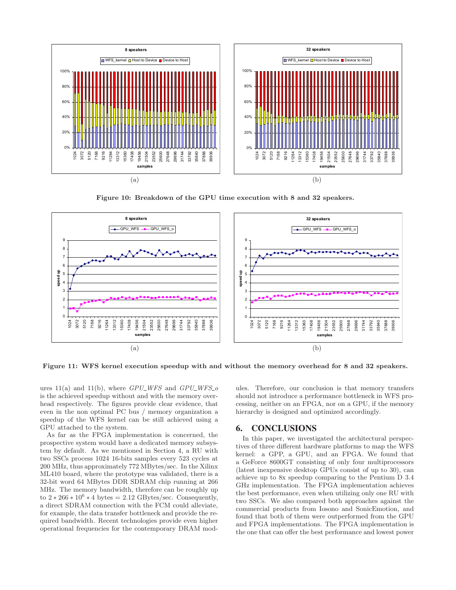

Figure 10: Breakdown of the GPU time execution with 8 and 32 speakers.



Figure 11: WFS kernel execution speedup with and without the memory overhead for 8 and 32 speakers.

ures  $11(a)$  and  $11(b)$ , where  $GPU_WFS$  and  $GPU_WFS_0$ is the achieved speedup without and with the memory overhead respectively. The figures provide clear evidence, that even in the non optimal PC bus / memory organization a speedup of the WFS kernel can be still achieved using a GPU attached to the system.

As far as the FPGA implementation is concerned, the prospective system would have a dedicated memory subsystem by default. As we mentioned in Section 4, a RU with two SSCs process 1024 16-bits samples every 523 cycles at 200 MHz, thus approximately 772 MBytes/sec. In the Xilinx ML410 board, where the prototype was validated, there is a 32-bit word 64 MBytes DDR SDRAM chip running at 266 MHz. The memory bandwidth, therefore can be roughly up to  $2 \times 266 \times 10^6 \times 4$  bytes = 2.12 GBytes/sec. Consequently, a direct SDRAM connection with the FCM could alleviate, for example, the data transfer bottleneck and provide the required bandwidth. Recent technologies provide even higher operational frequencies for the contemporary DRAM modules. Therefore, our conclusion is that memory transfers should not introduce a performance bottleneck in WFS processing, neither on an FPGA, nor on a GPU, if the memory hierarchy is designed and optimized accordingly.

## **6. CONCLUSIONS**

In this paper, we investigated the architectural perspectives of three different hardware platforms to map the WFS kernel: a GPP, a GPU, and an FPGA. We found that a GeForce 8600GT consisting of only four multiprocessors (latest inexpensive desktop GPUs consist of up to 30), can achieve up to 8x speedup comparing to the Pentium D 3.4 GHz implementation. The FPGA implementation achieves the best performance, even when utilizing only one RU with two SSCs. We also compared both approaches against the commercial products from Iosono and SonicEmotion, and found that both of them were outperformed from the GPU and FPGA implementations. The FPGA implementation is the one that can offer the best performance and lowest power